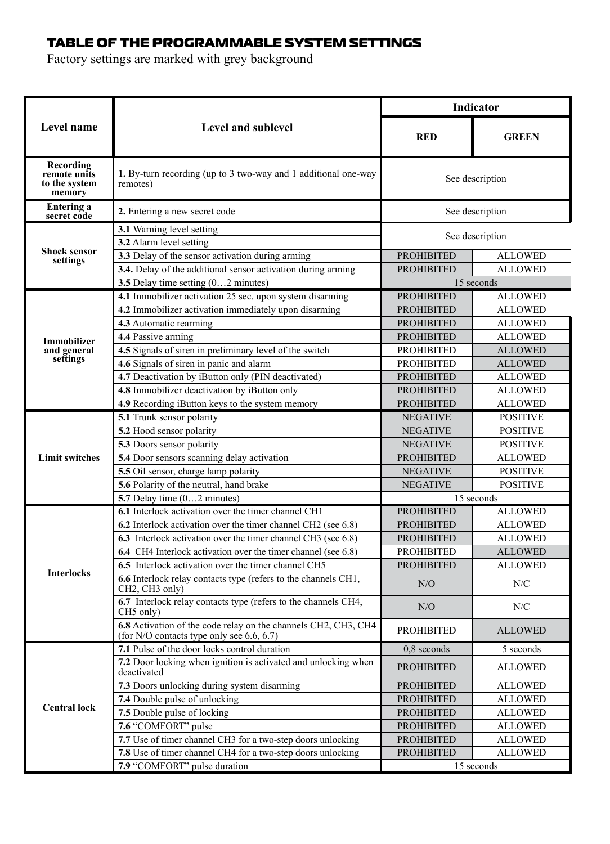## TABLE OF THE PROGRAMMABLE SYSTEM SETTINGS

Factory settings are marked with grey background

| Level name                                           | <b>Level and sublevel</b>                                                                                     | <b>Indicator</b>  |                 |  |
|------------------------------------------------------|---------------------------------------------------------------------------------------------------------------|-------------------|-----------------|--|
|                                                      |                                                                                                               | RED               | <b>GREEN</b>    |  |
| Recording<br>remote units<br>to the system<br>memory | 1. By-turn recording (up to 3 two-way and 1 additional one-way<br>remotes)                                    | See description   |                 |  |
| Entering a<br>secret code                            | 2. Entering a new secret code                                                                                 | See description   |                 |  |
|                                                      | 3.1 Warning level setting                                                                                     | See description   |                 |  |
|                                                      | 3.2 Alarm level setting                                                                                       |                   |                 |  |
| <b>Shock sensor</b><br>settings                      | 3.3 Delay of the sensor activation during arming                                                              | <b>PROHIBITED</b> | <b>ALLOWED</b>  |  |
|                                                      | 3.4. Delay of the additional sensor activation during arming                                                  | <b>PROHIBITED</b> | <b>ALLOWED</b>  |  |
|                                                      | 3.5 Delay time setting (02 minutes)                                                                           |                   | 15 seconds      |  |
|                                                      | 4.1 Immobilizer activation 25 sec. upon system disarming                                                      | <b>PROHIBITED</b> | <b>ALLOWED</b>  |  |
|                                                      | 4.2 Immobilizer activation immediately upon disarming                                                         | <b>PROHIBITED</b> | ALLOWED         |  |
|                                                      | 4.3 Automatic rearming                                                                                        | <b>PROHIBITED</b> | ALLOWED         |  |
| <b>Immobilizer</b>                                   | 4.4 Passive arming                                                                                            | <b>PROHIBITED</b> | ALLOWED         |  |
| and general                                          | 4.5 Signals of siren in preliminary level of the switch                                                       | <b>PROHIBITED</b> | <b>ALLOWED</b>  |  |
| settings                                             | 4.6 Signals of siren in panic and alarm                                                                       | <b>PROHIBITED</b> | <b>ALLOWED</b>  |  |
|                                                      | 4.7 Deactivation by iButton only (PIN deactivated)                                                            | <b>PROHIBITED</b> | ALLOWED         |  |
|                                                      | 4.8 Immobilizer deactivation by iButton only                                                                  | <b>PROHIBITED</b> | <b>ALLOWED</b>  |  |
|                                                      | 4.9 Recording iButton keys to the system memory                                                               | <b>PROHIBITED</b> | <b>ALLOWED</b>  |  |
|                                                      | 5.1 Trunk sensor polarity                                                                                     | <b>NEGATIVE</b>   | <b>POSITIVE</b> |  |
|                                                      | 5.2 Hood sensor polarity                                                                                      | <b>NEGATIVE</b>   | <b>POSITIVE</b> |  |
|                                                      | 5.3 Doors sensor polarity                                                                                     | <b>NEGATIVE</b>   | <b>POSITIVE</b> |  |
| <b>Limit switches</b>                                | 5.4 Door sensors scanning delay activation                                                                    | <b>PROHIBITED</b> | <b>ALLOWED</b>  |  |
|                                                      | 5.5 Oil sensor, charge lamp polarity                                                                          | <b>NEGATIVE</b>   | <b>POSITIVE</b> |  |
|                                                      | 5.6 Polarity of the neutral, hand brake                                                                       | <b>NEGATIVE</b>   | <b>POSITIVE</b> |  |
|                                                      | 5.7 Delay time $(02$ minutes)                                                                                 |                   | 15 seconds      |  |
|                                                      | 6.1 Interlock activation over the timer channel CH1                                                           | <b>PROHIBITED</b> | <b>ALLOWED</b>  |  |
|                                                      | 6.2 Interlock activation over the timer channel CH2 (see 6.8)                                                 | <b>PROHIBITED</b> | <b>ALLOWED</b>  |  |
|                                                      | 6.3 Interlock activation over the timer channel CH3 (see 6.8)                                                 | <b>PROHIBITED</b> | <b>ALLOWED</b>  |  |
|                                                      | 6.4 CH4 Interlock activation over the timer channel (see 6.8)                                                 | <b>PROHIBITED</b> | <b>ALLOWED</b>  |  |
|                                                      | 6.5 Interlock activation over the timer channel CH5                                                           | <b>PROHIBITED</b> | <b>ALLOWED</b>  |  |
| <b>Interlocks</b>                                    | 6.6 Interlock relay contacts type (refers to the channels CH1,<br>CH2, CH3 only)                              | N/O               | N/C             |  |
|                                                      | 6.7 Interlock relay contacts type (refers to the channels CH4,<br>CH5 only)                                   | N/O               | N/C             |  |
|                                                      | 6.8 Activation of the code relay on the channels CH2, CH3, CH4<br>(for $N/O$ contacts type only see 6.6, 6.7) | <b>PROHIBITED</b> | <b>ALLOWED</b>  |  |
| <b>Central lock</b>                                  | 7.1 Pulse of the door locks control duration                                                                  | $0.8$ seconds     | 5 seconds       |  |
|                                                      | 7.2 Door locking when ignition is activated and unlocking when<br>deactivated                                 | <b>PROHIBITED</b> | <b>ALLOWED</b>  |  |
|                                                      | 7.3 Doors unlocking during system disarming                                                                   | <b>PROHIBITED</b> | ALLOWED         |  |
|                                                      | 7.4 Double pulse of unlocking                                                                                 | <b>PROHIBITED</b> | <b>ALLOWED</b>  |  |
|                                                      | 7.5 Double pulse of locking                                                                                   | <b>PROHIBITED</b> | <b>ALLOWED</b>  |  |
|                                                      | 7.6 "COMFORT" pulse                                                                                           | <b>PROHIBITED</b> | <b>ALLOWED</b>  |  |
|                                                      | 7.7 Use of timer channel CH3 for a two-step doors unlocking                                                   | <b>PROHIBITED</b> | <b>ALLOWED</b>  |  |
|                                                      | 7.8 Use of timer channel CH4 for a two-step doors unlocking                                                   | <b>PROHIBITED</b> | <b>ALLOWED</b>  |  |
|                                                      | 7.9 "COMFORT" pulse duration                                                                                  | 15 seconds        |                 |  |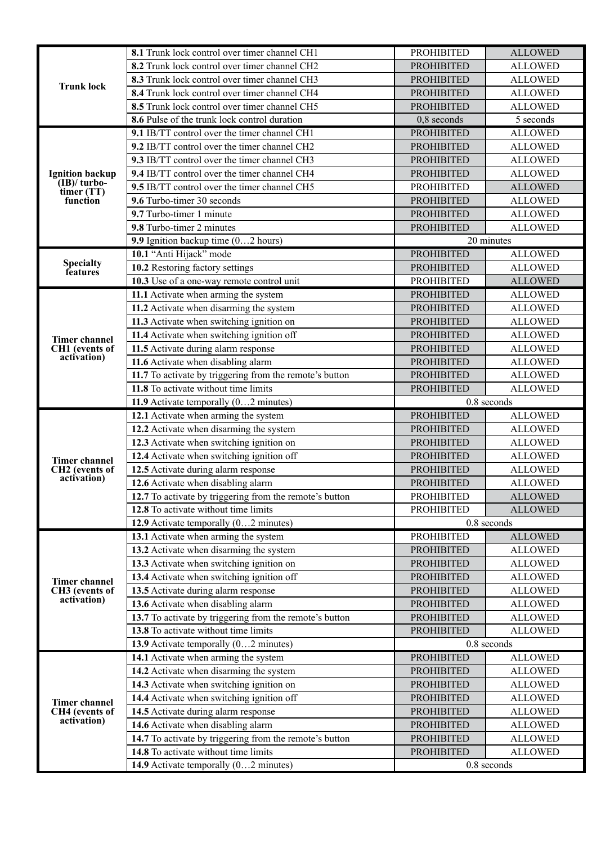|                                           | 8.1 Trunk lock control over timer channel CH1                                                   | <b>PROHIBITED</b>                      | <b>ALLOWED</b>                   |
|-------------------------------------------|-------------------------------------------------------------------------------------------------|----------------------------------------|----------------------------------|
|                                           | 8.2 Trunk lock control over timer channel CH2                                                   | <b>PROHIBITED</b>                      | <b>ALLOWED</b>                   |
|                                           | 8.3 Trunk lock control over timer channel CH3                                                   | <b>PROHIBITED</b>                      | <b>ALLOWED</b>                   |
| <b>Trunk lock</b>                         | 8.4 Trunk lock control over timer channel CH4                                                   | <b>PROHIBITED</b>                      | <b>ALLOWED</b>                   |
|                                           | 8.5 Trunk lock control over timer channel CH5                                                   | <b>PROHIBITED</b>                      | <b>ALLOWED</b>                   |
|                                           | 8.6 Pulse of the trunk lock control duration                                                    | 0,8 seconds                            | 5 seconds                        |
|                                           | 9.1 IB/TT control over the timer channel CH1                                                    | <b>PROHIBITED</b>                      | <b>ALLOWED</b>                   |
|                                           | 9.2 IB/TT control over the timer channel CH2                                                    | <b>PROHIBITED</b>                      | <b>ALLOWED</b>                   |
|                                           | 9.3 IB/TT control over the timer channel CH3                                                    | <b>PROHIBITED</b>                      | <b>ALLOWED</b>                   |
| <b>Ignition backup</b>                    | 9.4 IB/TT control over the timer channel CH4                                                    | <b>PROHIBITED</b>                      | <b>ALLOWED</b>                   |
| $(IB)/turbo-$<br>timer (TT)               | 9.5 IB/TT control over the timer channel CH5                                                    | <b>PROHIBITED</b>                      | <b>ALLOWED</b>                   |
| function                                  | 9.6 Turbo-timer 30 seconds                                                                      | <b>PROHIBITED</b>                      | <b>ALLOWED</b>                   |
|                                           | 9.7 Turbo-timer 1 minute                                                                        | <b>PROHIBITED</b>                      | <b>ALLOWED</b>                   |
|                                           | 9.8 Turbo-timer 2 minutes                                                                       | <b>PROHIBITED</b>                      | <b>ALLOWED</b>                   |
|                                           | 9.9 Ignition backup time (02 hours)                                                             |                                        | 20 minutes                       |
|                                           | 10.1 "Anti Hijack" mode                                                                         | <b>PROHIBITED</b>                      | <b>ALLOWED</b>                   |
| <b>Specialty</b><br>features              | 10.2 Restoring factory settings                                                                 | <b>PROHIBITED</b>                      | <b>ALLOWED</b>                   |
|                                           | 10.3 Use of a one-way remote control unit                                                       | <b>PROHIBITED</b>                      | <b>ALLOWED</b>                   |
|                                           | 11.1 Activate when arming the system                                                            | <b>PROHIBITED</b>                      | <b>ALLOWED</b>                   |
|                                           | 11.2 Activate when disarming the system                                                         | <b>PROHIBITED</b>                      | <b>ALLOWED</b>                   |
|                                           | 11.3 Activate when switching ignition on                                                        | <b>PROHIBITED</b>                      | <b>ALLOWED</b>                   |
| <b>Timer channel</b>                      | 11.4 Activate when switching ignition off                                                       | <b>PROHIBITED</b>                      | <b>ALLOWED</b>                   |
| CH1 (events of<br>activation)             | 11.5 Activate during alarm response                                                             | <b>PROHIBITED</b>                      | <b>ALLOWED</b>                   |
|                                           | 11.6 Activate when disabling alarm                                                              | <b>PROHIBITED</b>                      | <b>ALLOWED</b>                   |
|                                           | 11.7 To activate by triggering from the remote's button                                         | <b>PROHIBITED</b>                      | <b>ALLOWED</b>                   |
|                                           | 11.8 To activate without time limits                                                            | <b>PROHIBITED</b>                      | <b>ALLOWED</b>                   |
|                                           |                                                                                                 |                                        |                                  |
|                                           | 11.9 Activate temporally $(02$ minutes)                                                         |                                        | 0.8 seconds                      |
|                                           | 12.1 Activate when arming the system                                                            | <b>PROHIBITED</b>                      | <b>ALLOWED</b>                   |
|                                           | 12.2 Activate when disarming the system                                                         | <b>PROHIBITED</b>                      | <b>ALLOWED</b>                   |
|                                           | 12.3 Activate when switching ignition on                                                        | <b>PROHIBITED</b>                      | <b>ALLOWED</b>                   |
| <b>Timer channel</b>                      | 12.4 Activate when switching ignition off                                                       | <b>PROHIBITED</b>                      | <b>ALLOWED</b>                   |
| CH2 (events of                            | 12.5 Activate during alarm response                                                             | <b>PROHIBITED</b>                      | <b>ALLOWED</b>                   |
| activation)                               | 12.6 Activate when disabling alarm                                                              | <b>PROHIBITED</b>                      | <b>ALLOWED</b>                   |
|                                           | 12.7 To activate by triggering from the remote's button                                         | <b>PROHIBITED</b>                      | <b>ALLOWED</b>                   |
|                                           | 12.8 To activate without time limits                                                            | <b>PROHIBITED</b>                      | <b>ALLOWED</b>                   |
|                                           | 12.9 Activate temporally (02 minutes)                                                           |                                        | 0.8 seconds                      |
|                                           | 13.1 Activate when arming the system                                                            | <b>PROHIBITED</b>                      | <b>ALLOWED</b>                   |
|                                           | 13.2 Activate when disarming the system                                                         | <b>PROHIBITED</b>                      | <b>ALLOWED</b>                   |
|                                           | 13.3 Activate when switching ignition on                                                        | <b>PROHIBITED</b>                      | <b>ALLOWED</b>                   |
| <b>Timer channel</b>                      | 13.4 Activate when switching ignition off                                                       | <b>PROHIBITED</b>                      | <b>ALLOWED</b>                   |
| CH <sub>3</sub> (events of<br>activation) | 13.5 Activate during alarm response                                                             | <b>PROHIBITED</b>                      | <b>ALLOWED</b>                   |
|                                           | 13.6 Activate when disabling alarm                                                              | <b>PROHIBITED</b>                      | <b>ALLOWED</b>                   |
|                                           | 13.7 To activate by triggering from the remote's button                                         | <b>PROHIBITED</b>                      | <b>ALLOWED</b>                   |
|                                           | 13.8 To activate without time limits                                                            | <b>PROHIBITED</b>                      | <b>ALLOWED</b>                   |
|                                           | 13.9 Activate temporally (02 minutes)                                                           |                                        | 0.8 seconds                      |
|                                           | 14.1 Activate when arming the system                                                            | <b>PROHIBITED</b>                      | <b>ALLOWED</b>                   |
|                                           | 14.2 Activate when disarming the system                                                         | <b>PROHIBITED</b>                      | <b>ALLOWED</b>                   |
|                                           | 14.3 Activate when switching ignition on                                                        | <b>PROHIBITED</b>                      | <b>ALLOWED</b>                   |
| <b>Timer channel</b>                      | 14.4 Activate when switching ignition off                                                       | <b>PROHIBITED</b>                      | <b>ALLOWED</b>                   |
| CH4 (events of<br>activation)             | 14.5 Activate during alarm response                                                             | <b>PROHIBITED</b>                      | <b>ALLOWED</b>                   |
|                                           | 14.6 Activate when disabling alarm                                                              | <b>PROHIBITED</b>                      | <b>ALLOWED</b>                   |
|                                           | 14.7 To activate by triggering from the remote's button<br>14.8 To activate without time limits | <b>PROHIBITED</b><br><b>PROHIBITED</b> | <b>ALLOWED</b><br><b>ALLOWED</b> |